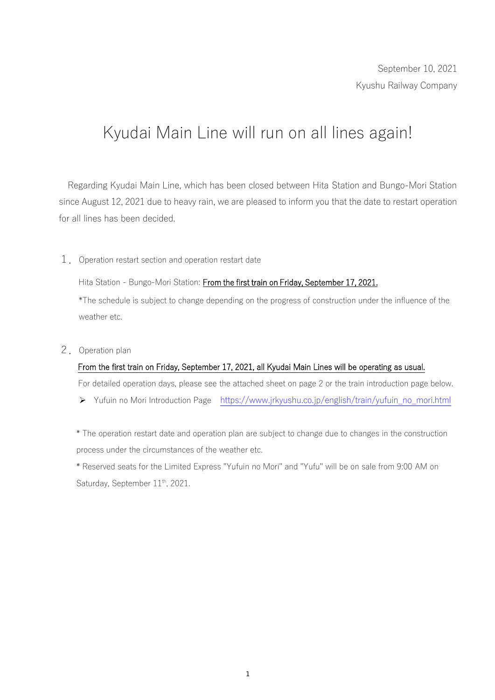## Kyudai Main Line will run on all lines again!

Regarding Kyudai Main Line, which has been closed between Hita Station and Bungo-Mori Station since August 12, 2021 due to heavy rain, we are pleased to inform you that the date to restart operation for all lines has been decided.

1.Operation restart section and operation restart date

Hita Station - Bungo-Mori Station: From the first train on Friday, September 17, 2021. \*The schedule is subject to change depending on the progress of construction under the influence of the weather etc.

2. Operation plan

## From the first train on Friday, September 17, 2021, all Kyudai Main Lines will be operating as usual.

For detailed operation days, please see the attached sheet on page 2 or the train introduction page below.

Yufuin no Mori Introduction Page [https://www.jrkyushu.co.jp/english/train/yufuin\\_no\\_mori.html](https://www.jrkyushu.co.jp/english/train/yufuin_no_mori.html)

\* The operation restart date and operation plan are subject to change due to changes in the construction process under the circumstances of the weather etc.

\* Reserved seats for the Limited Express "Yufuin no Mori" and "Yufu" will be on sale from 9:00 AM on Saturday, September 11<sup>th</sup>, 2021.